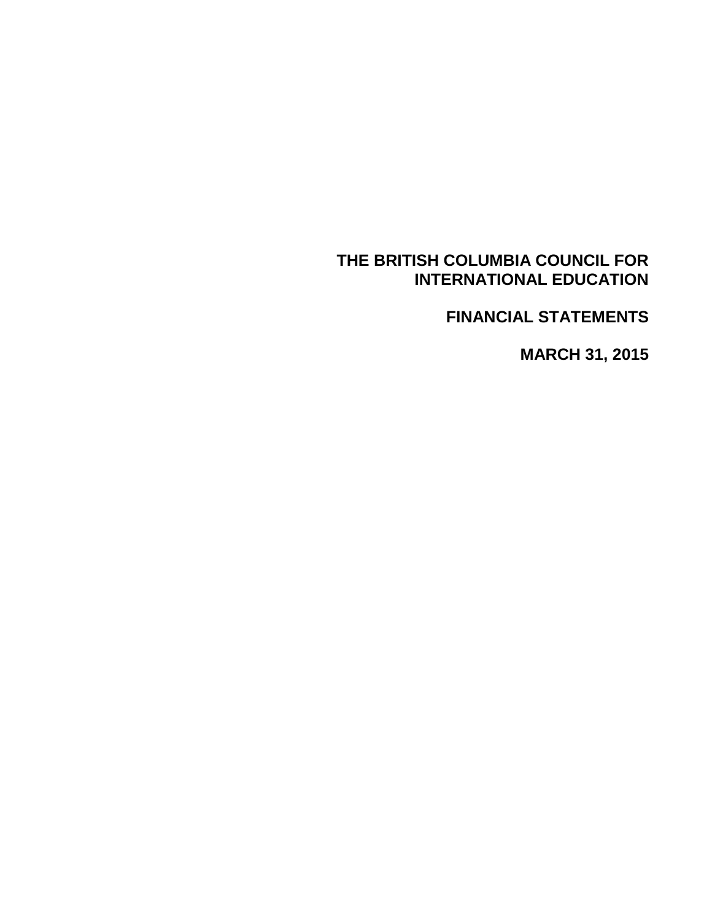**FINANCIAL STATEMENTS**

**MARCH 31, 2015**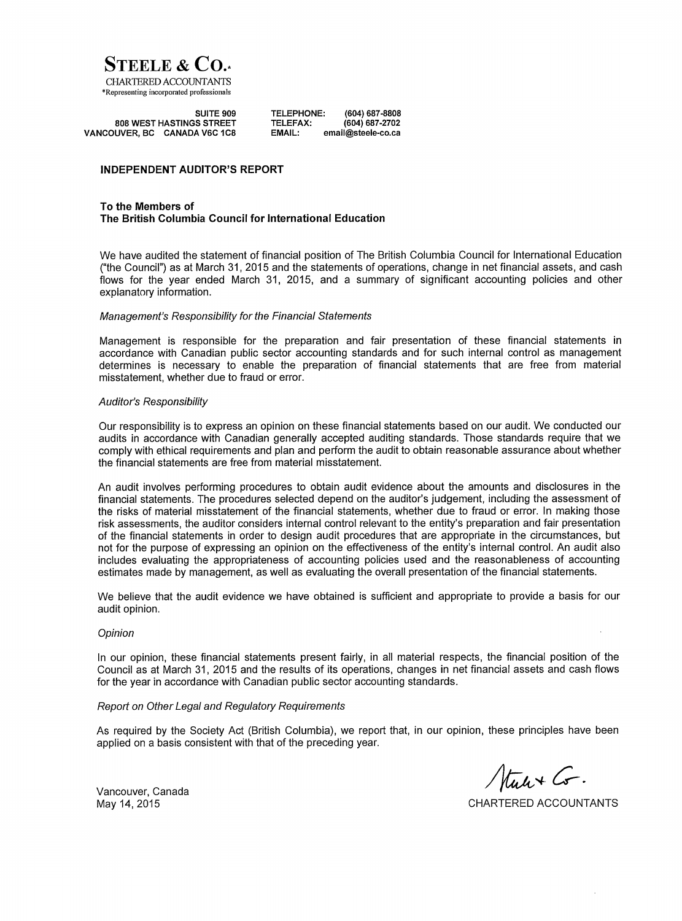

| <b>SUITE 909</b>                | TELEPHONE:      | (604) 687-8808     |
|---------------------------------|-----------------|--------------------|
| <b>808 WEST HASTINGS STREET</b> | <b>TELEFAX:</b> | (604) 687-2702     |
| VANCOUVER, BC CANADA V6C 1C8    | EMAIL:          | email@steele-co.ca |

#### **INDEPENDENT AUDITOR'S REPORT**

#### To the Members of The British Columbia Council for International Education

We have audited the statement of financial position of The British Columbia Council for International Education ("the Council") as at March 31, 2015 and the statements of operations, change in net financial assets, and cash flows for the vear ended March 31, 2015, and a summary of significant accounting policies and other explanatory information.

#### Management's Responsibility for the Financial Statements

Management is responsible for the preparation and fair presentation of these financial statements in accordance with Canadian public sector accounting standards and for such internal control as management determines is necessary to enable the preparation of financial statements that are free from material misstatement, whether due to fraud or error.

#### **Auditor's Responsibility**

Our responsibility is to express an opinion on these financial statements based on our audit. We conducted our audits in accordance with Canadian generally accepted auditing standards. Those standards require that we comply with ethical requirements and plan and perform the audit to obtain reasonable assurance about whether the financial statements are free from material misstatement.

An audit involves performing procedures to obtain audit evidence about the amounts and disclosures in the financial statements. The procedures selected depend on the auditor's judgement, including the assessment of the risks of material misstatement of the financial statements, whether due to fraud or error. In making those risk assessments, the auditor considers internal control relevant to the entity's preparation and fair presentation of the financial statements in order to design audit procedures that are appropriate in the circumstances, but not for the purpose of expressing an opinion on the effectiveness of the entity's internal control. An audit also includes evaluating the appropriateness of accounting policies used and the reasonableness of accounting estimates made by management, as well as evaluating the overall presentation of the financial statements.

We believe that the audit evidence we have obtained is sufficient and appropriate to provide a basis for our audit opinion.

#### Opinion

In our opinion, these financial statements present fairly, in all material respects, the financial position of the Council as at March 31, 2015 and the results of its operations, changes in net financial assets and cash flows for the year in accordance with Canadian public sector accounting standards.

#### Report on Other Legal and Regulatory Requirements

As required by the Society Act (British Columbia), we report that, in our opinion, these principles have been applied on a basis consistent with that of the preceding year.

Stuar Co.

Vancouver, Canada May 14, 2015

CHARTERED ACCOUNTANTS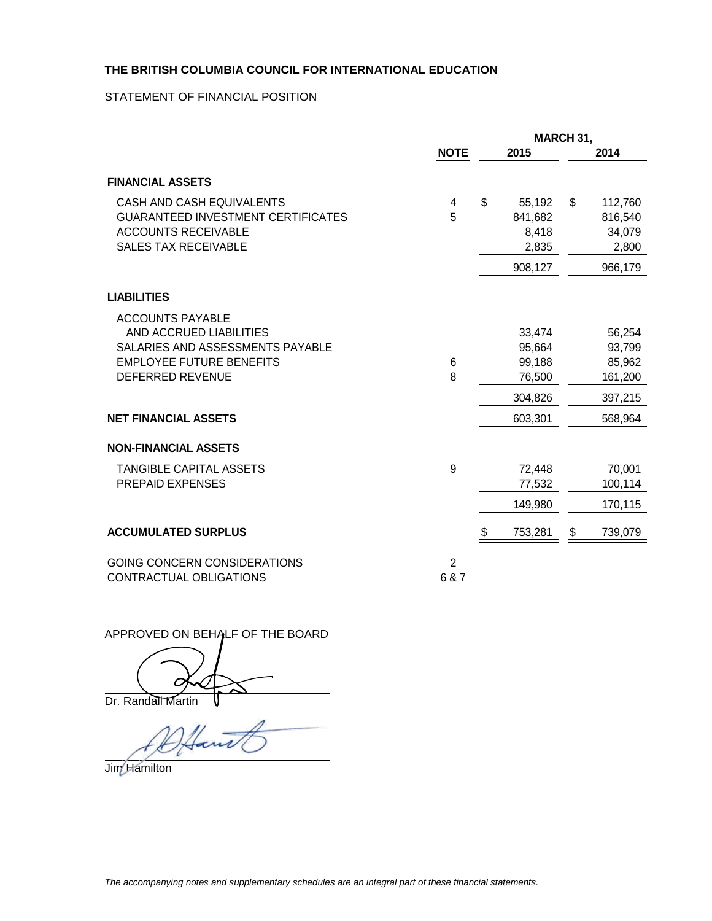# STATEMENT OF FINANCIAL POSITION

|                                                                                                                                                                                     |                         |                                                            | MARCH 31, |                                                             |  |  |
|-------------------------------------------------------------------------------------------------------------------------------------------------------------------------------------|-------------------------|------------------------------------------------------------|-----------|-------------------------------------------------------------|--|--|
|                                                                                                                                                                                     | <b>NOTE</b>             | 2015                                                       |           | 2014                                                        |  |  |
| <b>FINANCIAL ASSETS</b>                                                                                                                                                             |                         |                                                            |           |                                                             |  |  |
| CASH AND CASH EQUIVALENTS<br><b>GUARANTEED INVESTMENT CERTIFICATES</b><br><b>ACCOUNTS RECEIVABLE</b><br><b>SALES TAX RECEIVABLE</b>                                                 | 4<br>5                  | \$<br>55,192<br>841,682<br>8,418<br>2,835                  | \$        | 112,760<br>816,540<br>34,079<br>2,800                       |  |  |
|                                                                                                                                                                                     |                         | 908,127                                                    |           | 966,179                                                     |  |  |
| <b>LIABILITIES</b>                                                                                                                                                                  |                         |                                                            |           |                                                             |  |  |
| <b>ACCOUNTS PAYABLE</b><br>AND ACCRUED LIABILITIES<br>SALARIES AND ASSESSMENTS PAYABLE<br><b>EMPLOYEE FUTURE BENEFITS</b><br><b>DEFERRED REVENUE</b><br><b>NET FINANCIAL ASSETS</b> | 6<br>8                  | 33,474<br>95,664<br>99,188<br>76,500<br>304,826<br>603,301 |           | 56,254<br>93,799<br>85,962<br>161,200<br>397,215<br>568,964 |  |  |
|                                                                                                                                                                                     |                         |                                                            |           |                                                             |  |  |
| <b>NON-FINANCIAL ASSETS</b>                                                                                                                                                         |                         |                                                            |           |                                                             |  |  |
| <b>TANGIBLE CAPITAL ASSETS</b><br><b>PREPAID EXPENSES</b>                                                                                                                           | 9                       | 72,448<br>77,532                                           |           | 70,001<br>100,114                                           |  |  |
|                                                                                                                                                                                     |                         | 149,980                                                    |           | 170,115                                                     |  |  |
| <b>ACCUMULATED SURPLUS</b>                                                                                                                                                          |                         | \$<br>753,281                                              | \$        | 739,079                                                     |  |  |
| GOING CONCERN CONSIDERATIONS<br>CONTRACTUAL OBLIGATIONS                                                                                                                             | $\overline{2}$<br>6 & 7 |                                                            |           |                                                             |  |  |

APPROVED ON BEHALF OF THE BOARD

 $\epsilon$ Dr. Randall Martin

Offant

Jim Hamilton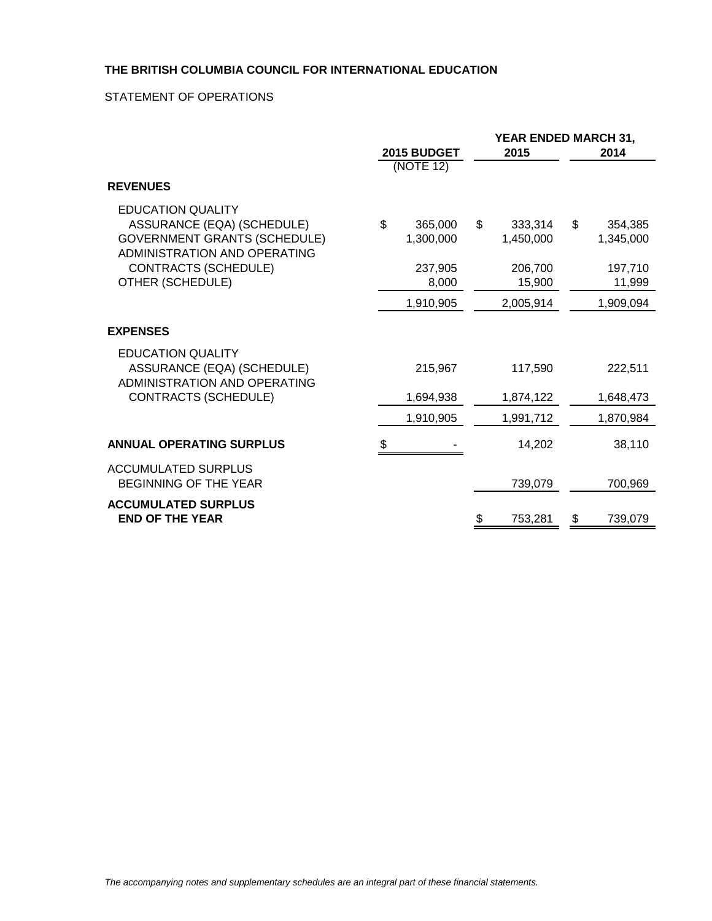# STATEMENT OF OPERATIONS

|                                                                                                                               |                            |                            | YEAR ENDED MARCH 31, |                      |  |
|-------------------------------------------------------------------------------------------------------------------------------|----------------------------|----------------------------|----------------------|----------------------|--|
|                                                                                                                               | 2015 BUDGET                | 2015                       |                      | 2014                 |  |
| <b>REVENUES</b>                                                                                                               | (NOTE 12)                  |                            |                      |                      |  |
| <b>EDUCATION QUALITY</b><br>ASSURANCE (EQA) (SCHEDULE)<br><b>GOVERNMENT GRANTS (SCHEDULE)</b><br>ADMINISTRATION AND OPERATING | \$<br>365,000<br>1,300,000 | \$<br>333,314<br>1,450,000 | \$                   | 354,385<br>1,345,000 |  |
| <b>CONTRACTS (SCHEDULE)</b><br>OTHER (SCHEDULE)                                                                               | 237,905<br>8,000           | 206,700<br>15,900          |                      | 197,710<br>11,999    |  |
|                                                                                                                               | 1,910,905                  | 2,005,914                  |                      | 1,909,094            |  |
| <b>EXPENSES</b>                                                                                                               |                            |                            |                      |                      |  |
| <b>EDUCATION QUALITY</b><br>ASSURANCE (EQA) (SCHEDULE)<br>ADMINISTRATION AND OPERATING                                        | 215,967                    | 117,590                    |                      | 222,511              |  |
| <b>CONTRACTS (SCHEDULE)</b>                                                                                                   | 1,694,938                  | 1,874,122                  |                      | 1,648,473            |  |
|                                                                                                                               | 1,910,905                  | 1,991,712                  |                      | 1,870,984            |  |
| <b>ANNUAL OPERATING SURPLUS</b>                                                                                               |                            | 14,202                     |                      | 38,110               |  |
| <b>ACCUMULATED SURPLUS</b><br><b>BEGINNING OF THE YEAR</b>                                                                    |                            | 739,079                    |                      | 700,969              |  |
| <b>ACCUMULATED SURPLUS</b><br><b>END OF THE YEAR</b>                                                                          |                            | 753,281                    | \$                   | 739,079              |  |
|                                                                                                                               |                            |                            |                      |                      |  |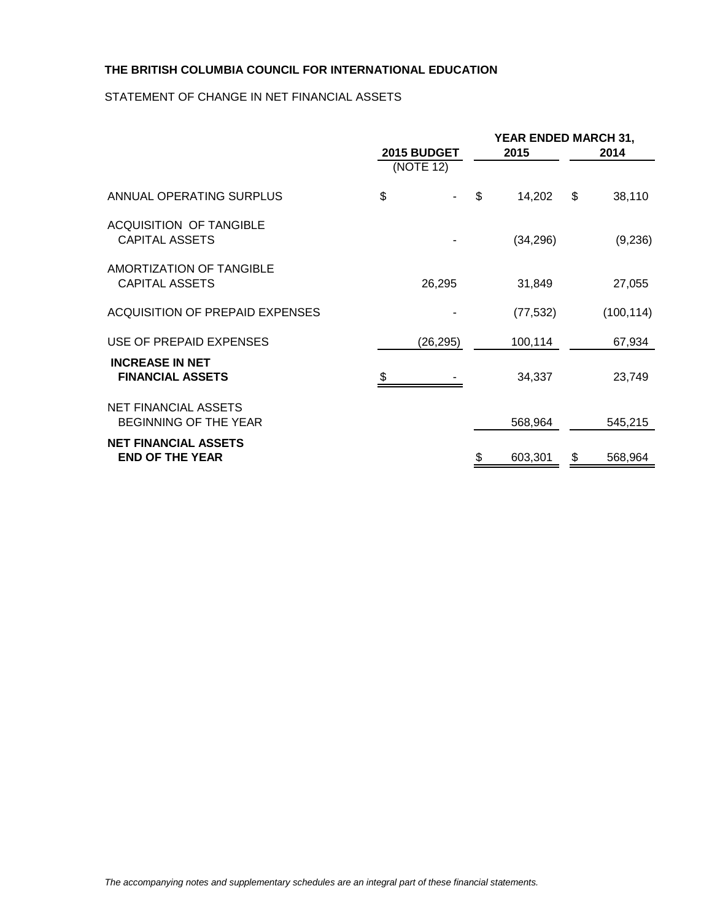# STATEMENT OF CHANGE IN NET FINANCIAL ASSETS

|                                                             |    |             | YEAR ENDED MARCH 31, |    |            |  |  |
|-------------------------------------------------------------|----|-------------|----------------------|----|------------|--|--|
|                                                             |    | 2015 BUDGET | 2015                 |    | 2014       |  |  |
|                                                             |    | (NOTE 12)   |                      |    |            |  |  |
| ANNUAL OPERATING SURPLUS                                    | \$ |             | \$<br>14,202         | \$ | 38,110     |  |  |
| <b>ACQUISITION OF TANGIBLE</b><br><b>CAPITAL ASSETS</b>     |    |             | (34, 296)            |    | (9,236)    |  |  |
| AMORTIZATION OF TANGIBLE<br><b>CAPITAL ASSETS</b>           |    | 26,295      | 31,849               |    | 27,055     |  |  |
| <b>ACQUISITION OF PREPAID EXPENSES</b>                      |    |             | (77, 532)            |    | (100, 114) |  |  |
| USE OF PREPAID EXPENSES                                     |    | (26, 295)   | 100,114              |    | 67,934     |  |  |
| <b>INCREASE IN NET</b><br><b>FINANCIAL ASSETS</b>           | S  |             | 34,337               |    | 23,749     |  |  |
| <b>NET FINANCIAL ASSETS</b><br><b>BEGINNING OF THE YEAR</b> |    |             | 568,964              |    | 545,215    |  |  |
| <b>NET FINANCIAL ASSETS</b><br><b>END OF THE YEAR</b>       |    |             | \$<br>603,301        | \$ | 568,964    |  |  |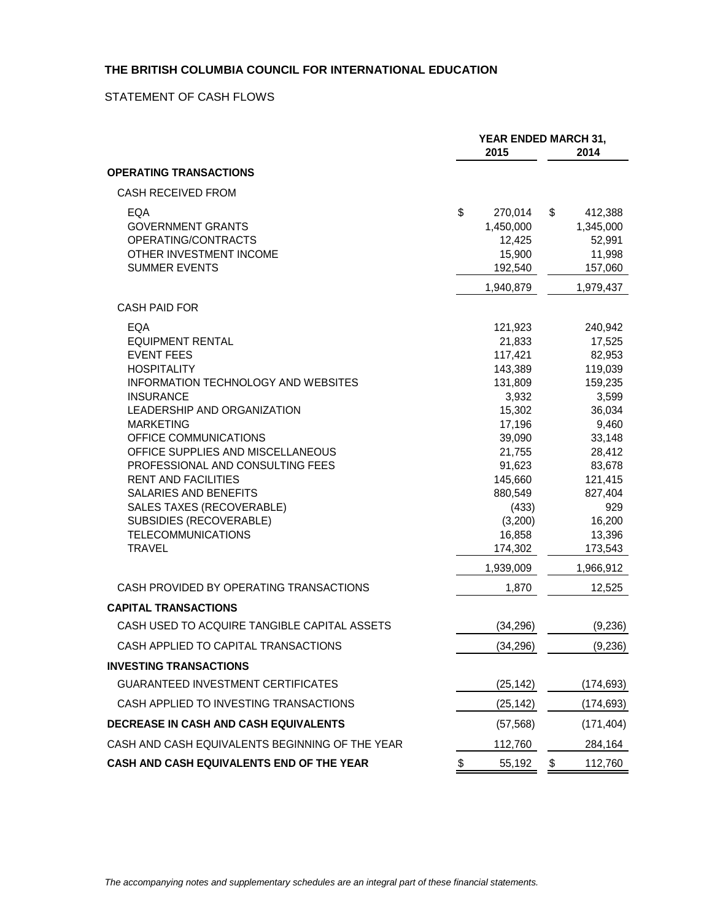### STATEMENT OF CASH FLOWS

|                                                                                                                                                                                                                                                                                                                                                                                                                                                                      | YEAR ENDED MARCH 31,<br>2015<br>2014                                                                                                                                                      |    |                                                                                                                                                                                      |  |  |
|----------------------------------------------------------------------------------------------------------------------------------------------------------------------------------------------------------------------------------------------------------------------------------------------------------------------------------------------------------------------------------------------------------------------------------------------------------------------|-------------------------------------------------------------------------------------------------------------------------------------------------------------------------------------------|----|--------------------------------------------------------------------------------------------------------------------------------------------------------------------------------------|--|--|
|                                                                                                                                                                                                                                                                                                                                                                                                                                                                      |                                                                                                                                                                                           |    |                                                                                                                                                                                      |  |  |
| <b>OPERATING TRANSACTIONS</b>                                                                                                                                                                                                                                                                                                                                                                                                                                        |                                                                                                                                                                                           |    |                                                                                                                                                                                      |  |  |
| <b>CASH RECEIVED FROM</b>                                                                                                                                                                                                                                                                                                                                                                                                                                            |                                                                                                                                                                                           |    |                                                                                                                                                                                      |  |  |
| <b>EQA</b><br><b>GOVERNMENT GRANTS</b><br>OPERATING/CONTRACTS<br>OTHER INVESTMENT INCOME<br><b>SUMMER EVENTS</b>                                                                                                                                                                                                                                                                                                                                                     | \$<br>270,014<br>1,450,000<br>12,425<br>15,900<br>192,540                                                                                                                                 | \$ | 412,388<br>1,345,000<br>52,991<br>11,998<br>157,060                                                                                                                                  |  |  |
|                                                                                                                                                                                                                                                                                                                                                                                                                                                                      | 1,940,879                                                                                                                                                                                 |    | 1,979,437                                                                                                                                                                            |  |  |
| <b>CASH PAID FOR</b>                                                                                                                                                                                                                                                                                                                                                                                                                                                 |                                                                                                                                                                                           |    |                                                                                                                                                                                      |  |  |
| <b>EQA</b><br><b>EQUIPMENT RENTAL</b><br><b>EVENT FEES</b><br><b>HOSPITALITY</b><br><b>INFORMATION TECHNOLOGY AND WEBSITES</b><br><b>INSURANCE</b><br>LEADERSHIP AND ORGANIZATION<br><b>MARKETING</b><br>OFFICE COMMUNICATIONS<br>OFFICE SUPPLIES AND MISCELLANEOUS<br>PROFESSIONAL AND CONSULTING FEES<br><b>RENT AND FACILITIES</b><br>SALARIES AND BENEFITS<br>SALES TAXES (RECOVERABLE)<br>SUBSIDIES (RECOVERABLE)<br><b>TELECOMMUNICATIONS</b><br><b>TRAVEL</b> | 121,923<br>21,833<br>117,421<br>143,389<br>131,809<br>3,932<br>15,302<br>17,196<br>39,090<br>21,755<br>91,623<br>145,660<br>880,549<br>(433)<br>(3,200)<br>16,858<br>174,302<br>1,939,009 |    | 240,942<br>17,525<br>82,953<br>119,039<br>159,235<br>3,599<br>36,034<br>9,460<br>33,148<br>28,412<br>83,678<br>121,415<br>827,404<br>929<br>16,200<br>13,396<br>173,543<br>1,966,912 |  |  |
| CASH PROVIDED BY OPERATING TRANSACTIONS                                                                                                                                                                                                                                                                                                                                                                                                                              | 1,870                                                                                                                                                                                     |    | 12,525                                                                                                                                                                               |  |  |
| <b>CAPITAL TRANSACTIONS</b>                                                                                                                                                                                                                                                                                                                                                                                                                                          |                                                                                                                                                                                           |    |                                                                                                                                                                                      |  |  |
| CASH USED TO ACQUIRE TANGIBLE CAPITAL ASSETS                                                                                                                                                                                                                                                                                                                                                                                                                         | (34, 296)                                                                                                                                                                                 |    | (9,236)                                                                                                                                                                              |  |  |
| CASH APPLIED TO CAPITAL TRANSACTIONS                                                                                                                                                                                                                                                                                                                                                                                                                                 | (34, 296)                                                                                                                                                                                 |    | (9, 236)                                                                                                                                                                             |  |  |
| <b>INVESTING TRANSACTIONS</b>                                                                                                                                                                                                                                                                                                                                                                                                                                        |                                                                                                                                                                                           |    |                                                                                                                                                                                      |  |  |
| <b>GUARANTEED INVESTMENT CERTIFICATES</b>                                                                                                                                                                                                                                                                                                                                                                                                                            | (25, 142)                                                                                                                                                                                 |    | (174, 693)                                                                                                                                                                           |  |  |
| CASH APPLIED TO INVESTING TRANSACTIONS                                                                                                                                                                                                                                                                                                                                                                                                                               | (25, 142)                                                                                                                                                                                 |    | (174, 693)                                                                                                                                                                           |  |  |
| DECREASE IN CASH AND CASH EQUIVALENTS                                                                                                                                                                                                                                                                                                                                                                                                                                | (57, 568)                                                                                                                                                                                 |    | (171, 404)                                                                                                                                                                           |  |  |
| CASH AND CASH EQUIVALENTS BEGINNING OF THE YEAR                                                                                                                                                                                                                                                                                                                                                                                                                      | 112,760                                                                                                                                                                                   |    | 284,164                                                                                                                                                                              |  |  |
| CASH AND CASH EQUIVALENTS END OF THE YEAR                                                                                                                                                                                                                                                                                                                                                                                                                            | \$<br>55,192                                                                                                                                                                              | \$ | 112,760                                                                                                                                                                              |  |  |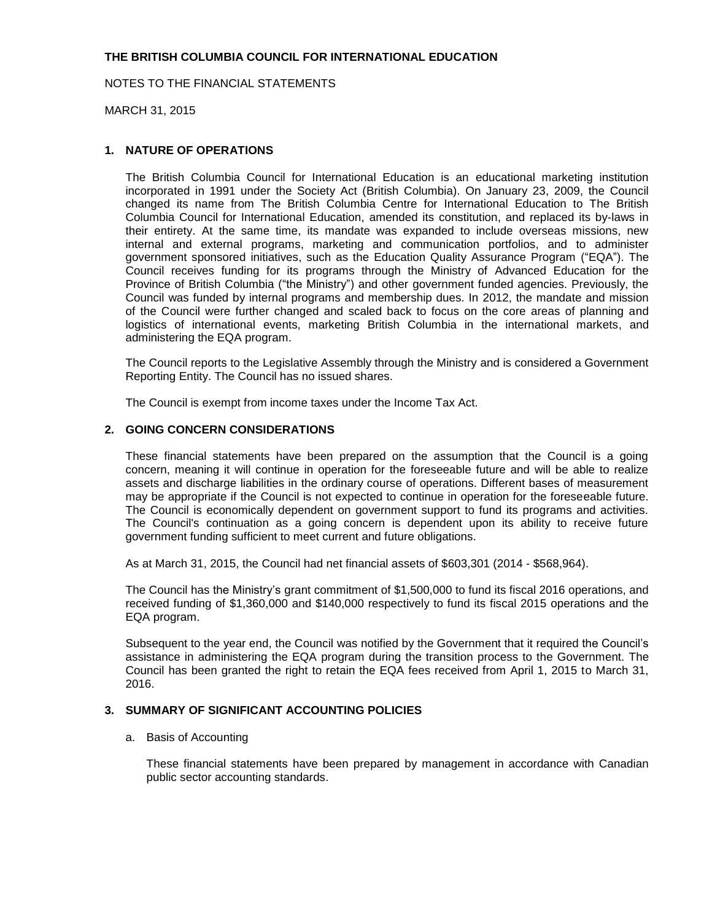MARCH 31, 2015

### **1. NATURE OF OPERATIONS**

The British Columbia Council for International Education is an educational marketing institution incorporated in 1991 under the Society Act (British Columbia). On January 23, 2009, the Council changed its name from The British Columbia Centre for International Education to The British Columbia Council for International Education, amended its constitution, and replaced its by-laws in their entirety. At the same time, its mandate was expanded to include overseas missions, new internal and external programs, marketing and communication portfolios, and to administer government sponsored initiatives, such as the Education Quality Assurance Program ("EQA"). The Council receives funding for its programs through the Ministry of Advanced Education for the Province of British Columbia ("the Ministry") and other government funded agencies. Previously, the Council was funded by internal programs and membership dues. In 2012, the mandate and mission of the Council were further changed and scaled back to focus on the core areas of planning and logistics of international events, marketing British Columbia in the international markets, and administering the EQA program.

The Council reports to the Legislative Assembly through the Ministry and is considered a Government Reporting Entity. The Council has no issued shares.

The Council is exempt from income taxes under the Income Tax Act.

### **2. GOING CONCERN CONSIDERATIONS**

These financial statements have been prepared on the assumption that the Council is a going concern, meaning it will continue in operation for the foreseeable future and will be able to realize assets and discharge liabilities in the ordinary course of operations. Different bases of measurement may be appropriate if the Council is not expected to continue in operation for the foreseeable future. The Council is economically dependent on government support to fund its programs and activities. The Council's continuation as a going concern is dependent upon its ability to receive future government funding sufficient to meet current and future obligations.

As at March 31, 2015, the Council had net financial assets of \$603,301 (2014 - \$568,964).

The Council has the Ministry's grant commitment of \$1,500,000 to fund its fiscal 2016 operations, and received funding of \$1,360,000 and \$140,000 respectively to fund its fiscal 2015 operations and the EQA program.

Subsequent to the year end, the Council was notified by the Government that it required the Council's assistance in administering the EQA program during the transition process to the Government. The Council has been granted the right to retain the EQA fees received from April 1, 2015 to March 31, 2016.

### **3. SUMMARY OF SIGNIFICANT ACCOUNTING POLICIES**

### a. Basis of Accounting

These financial statements have been prepared by management in accordance with Canadian public sector accounting standards.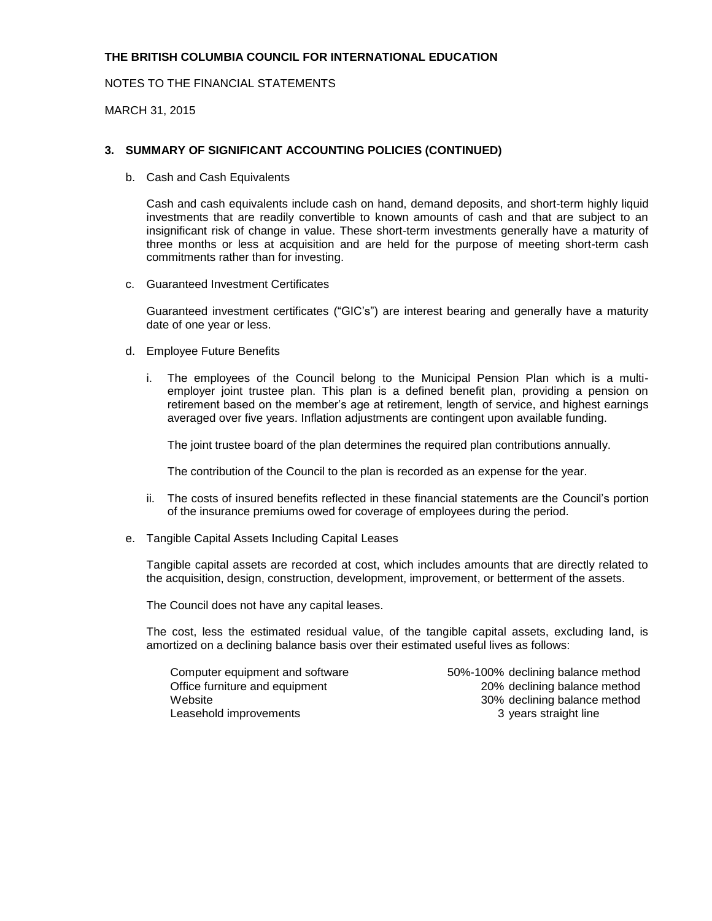### NOTES TO THE FINANCIAL STATEMENTS

MARCH 31, 2015

### **3. SUMMARY OF SIGNIFICANT ACCOUNTING POLICIES (CONTINUED)**

b. Cash and Cash Equivalents

Cash and cash equivalents include cash on hand, demand deposits, and short-term highly liquid investments that are readily convertible to known amounts of cash and that are subject to an insignificant risk of change in value. These short-term investments generally have a maturity of three months or less at acquisition and are held for the purpose of meeting short-term cash commitments rather than for investing.

c. Guaranteed Investment Certificates

Guaranteed investment certificates ("GIC's") are interest bearing and generally have a maturity date of one year or less.

- d. Employee Future Benefits
	- i. The employees of the Council belong to the Municipal Pension Plan which is a multiemployer joint trustee plan. This plan is a defined benefit plan, providing a pension on retirement based on the member's age at retirement, length of service, and highest earnings averaged over five years. Inflation adjustments are contingent upon available funding.

The joint trustee board of the plan determines the required plan contributions annually.

The contribution of the Council to the plan is recorded as an expense for the year.

- ii. The costs of insured benefits reflected in these financial statements are the Council's portion of the insurance premiums owed for coverage of employees during the period.
- e. Tangible Capital Assets Including Capital Leases

Tangible capital assets are recorded at cost, which includes amounts that are directly related to the acquisition, design, construction, development, improvement, or betterment of the assets.

The Council does not have any capital leases.

The cost, less the estimated residual value, of the tangible capital assets, excluding land, is amortized on a declining balance basis over their estimated useful lives as follows:

Leasehold improvements and the straight line of the straight line

Computer equipment and software 50%-100% declining balance method Office furniture and equipment 20% declining balance method Website 30% declining balance method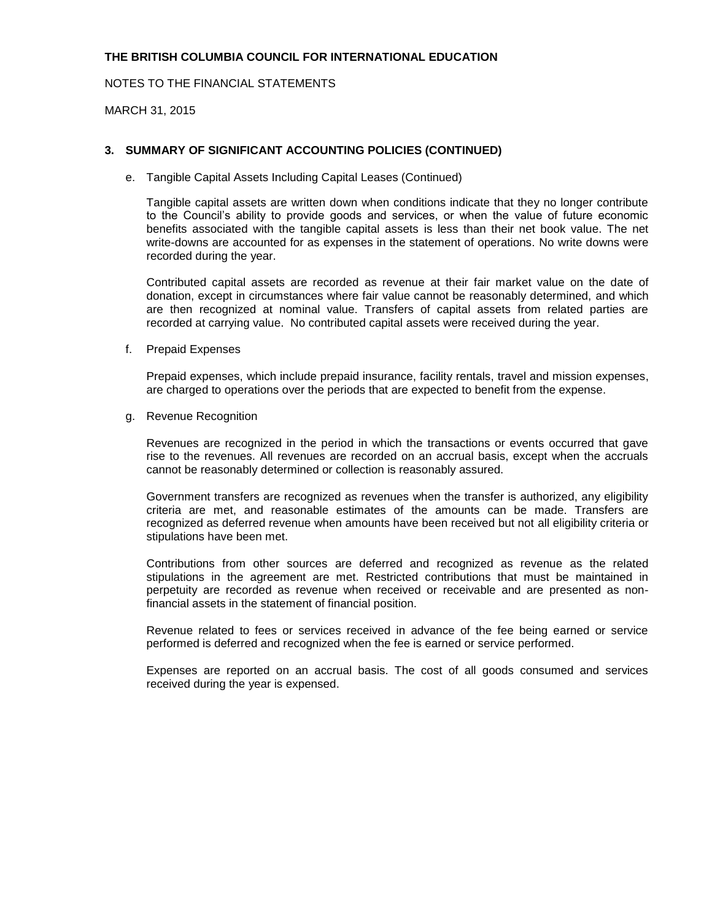### NOTES TO THE FINANCIAL STATEMENTS

MARCH 31, 2015

### **3. SUMMARY OF SIGNIFICANT ACCOUNTING POLICIES (CONTINUED)**

e. Tangible Capital Assets Including Capital Leases (Continued)

Tangible capital assets are written down when conditions indicate that they no longer contribute to the Council's ability to provide goods and services, or when the value of future economic benefits associated with the tangible capital assets is less than their net book value. The net write-downs are accounted for as expenses in the statement of operations. No write downs were recorded during the year.

Contributed capital assets are recorded as revenue at their fair market value on the date of donation, except in circumstances where fair value cannot be reasonably determined, and which are then recognized at nominal value. Transfers of capital assets from related parties are recorded at carrying value. No contributed capital assets were received during the year.

f. Prepaid Expenses

Prepaid expenses, which include prepaid insurance, facility rentals, travel and mission expenses, are charged to operations over the periods that are expected to benefit from the expense.

g. Revenue Recognition

Revenues are recognized in the period in which the transactions or events occurred that gave rise to the revenues. All revenues are recorded on an accrual basis, except when the accruals cannot be reasonably determined or collection is reasonably assured.

Government transfers are recognized as revenues when the transfer is authorized, any eligibility criteria are met, and reasonable estimates of the amounts can be made. Transfers are recognized as deferred revenue when amounts have been received but not all eligibility criteria or stipulations have been met.

Contributions from other sources are deferred and recognized as revenue as the related stipulations in the agreement are met. Restricted contributions that must be maintained in perpetuity are recorded as revenue when received or receivable and are presented as nonfinancial assets in the statement of financial position.

Revenue related to fees or services received in advance of the fee being earned or service performed is deferred and recognized when the fee is earned or service performed.

Expenses are reported on an accrual basis. The cost of all goods consumed and services received during the year is expensed.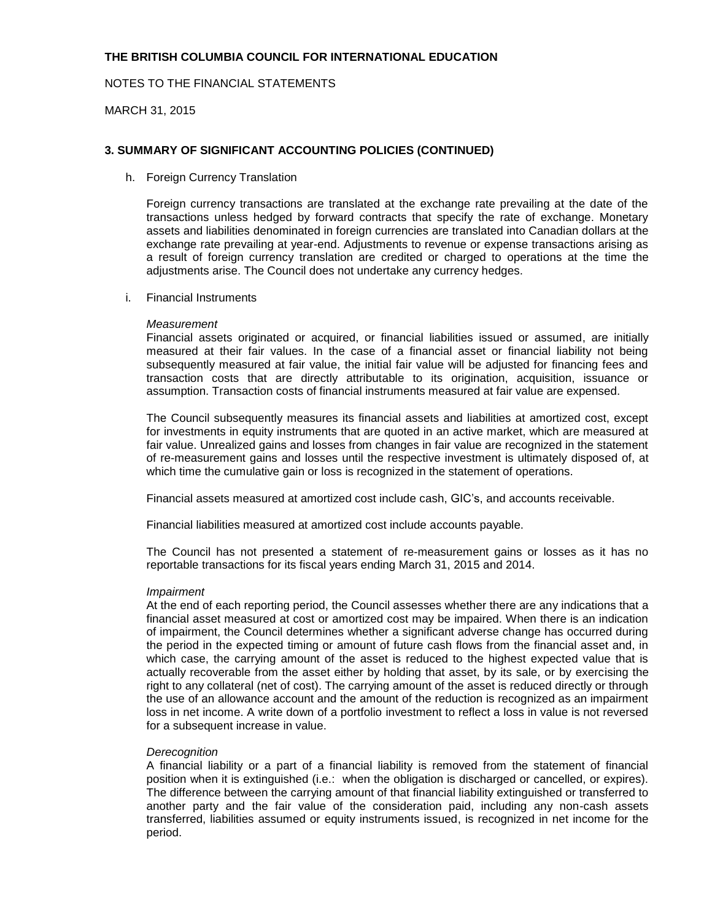### NOTES TO THE FINANCIAL STATEMENTS

MARCH 31, 2015

### **3. SUMMARY OF SIGNIFICANT ACCOUNTING POLICIES (CONTINUED)**

h. Foreign Currency Translation

Foreign currency transactions are translated at the exchange rate prevailing at the date of the transactions unless hedged by forward contracts that specify the rate of exchange. Monetary assets and liabilities denominated in foreign currencies are translated into Canadian dollars at the exchange rate prevailing at year-end. Adjustments to revenue or expense transactions arising as a result of foreign currency translation are credited or charged to operations at the time the adjustments arise. The Council does not undertake any currency hedges.

i. Financial Instruments

#### *Measurement*

Financial assets originated or acquired, or financial liabilities issued or assumed, are initially measured at their fair values. In the case of a financial asset or financial liability not being subsequently measured at fair value, the initial fair value will be adjusted for financing fees and transaction costs that are directly attributable to its origination, acquisition, issuance or assumption. Transaction costs of financial instruments measured at fair value are expensed.

The Council subsequently measures its financial assets and liabilities at amortized cost, except for investments in equity instruments that are quoted in an active market, which are measured at fair value. Unrealized gains and losses from changes in fair value are recognized in the statement of re-measurement gains and losses until the respective investment is ultimately disposed of, at which time the cumulative gain or loss is recognized in the statement of operations.

Financial assets measured at amortized cost include cash, GIC's, and accounts receivable.

Financial liabilities measured at amortized cost include accounts payable.

The Council has not presented a statement of re-measurement gains or losses as it has no reportable transactions for its fiscal years ending March 31, 2015 and 2014.

#### *Impairment*

At the end of each reporting period, the Council assesses whether there are any indications that a financial asset measured at cost or amortized cost may be impaired. When there is an indication of impairment, the Council determines whether a significant adverse change has occurred during the period in the expected timing or amount of future cash flows from the financial asset and, in which case, the carrying amount of the asset is reduced to the highest expected value that is actually recoverable from the asset either by holding that asset, by its sale, or by exercising the right to any collateral (net of cost). The carrying amount of the asset is reduced directly or through the use of an allowance account and the amount of the reduction is recognized as an impairment loss in net income. A write down of a portfolio investment to reflect a loss in value is not reversed for a subsequent increase in value.

#### *Derecognition*

A financial liability or a part of a financial liability is removed from the statement of financial position when it is extinguished (i.e.: when the obligation is discharged or cancelled, or expires). The difference between the carrying amount of that financial liability extinguished or transferred to another party and the fair value of the consideration paid, including any non-cash assets transferred, liabilities assumed or equity instruments issued, is recognized in net income for the period.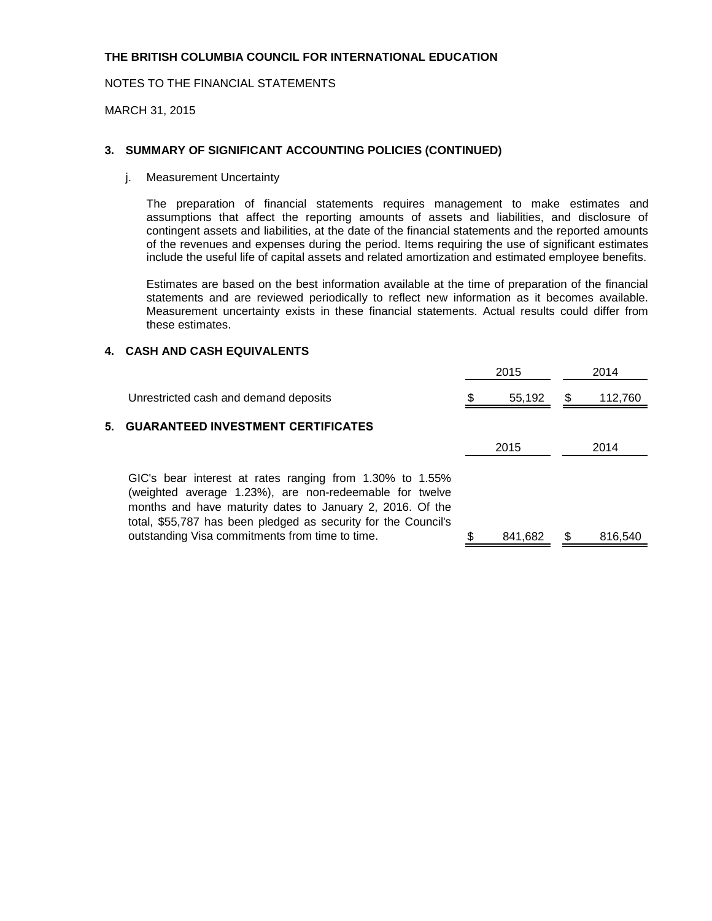### NOTES TO THE FINANCIAL STATEMENTS

MARCH 31, 2015

### **3. SUMMARY OF SIGNIFICANT ACCOUNTING POLICIES (CONTINUED)**

j. Measurement Uncertainty

The preparation of financial statements requires management to make estimates and assumptions that affect the reporting amounts of assets and liabilities, and disclosure of contingent assets and liabilities, at the date of the financial statements and the reported amounts of the revenues and expenses during the period. Items requiring the use of significant estimates include the useful life of capital assets and related amortization and estimated employee benefits.

Estimates are based on the best information available at the time of preparation of the financial statements and are reviewed periodically to reflect new information as it becomes available. Measurement uncertainty exists in these financial statements. Actual results could differ from these estimates.

### **4. CASH AND CASH EQUIVALENTS**

|    |                                                                                                                                                                                                                                                                                                       |     | 2015    |     | 2014    |
|----|-------------------------------------------------------------------------------------------------------------------------------------------------------------------------------------------------------------------------------------------------------------------------------------------------------|-----|---------|-----|---------|
|    | Unrestricted cash and demand deposits                                                                                                                                                                                                                                                                 | \$. | 55,192  | \$. | 112,760 |
| 5. | <b>GUARANTEED INVESTMENT CERTIFICATES</b>                                                                                                                                                                                                                                                             |     |         |     |         |
|    |                                                                                                                                                                                                                                                                                                       |     | 2015    |     | 2014    |
|    | GIC's bear interest at rates ranging from 1.30% to 1.55%<br>(weighted average 1.23%), are non-redeemable for twelve<br>months and have maturity dates to January 2, 2016. Of the<br>total, \$55,787 has been pledged as security for the Council's<br>outstanding Visa commitments from time to time. |     | 841.682 |     | 816.540 |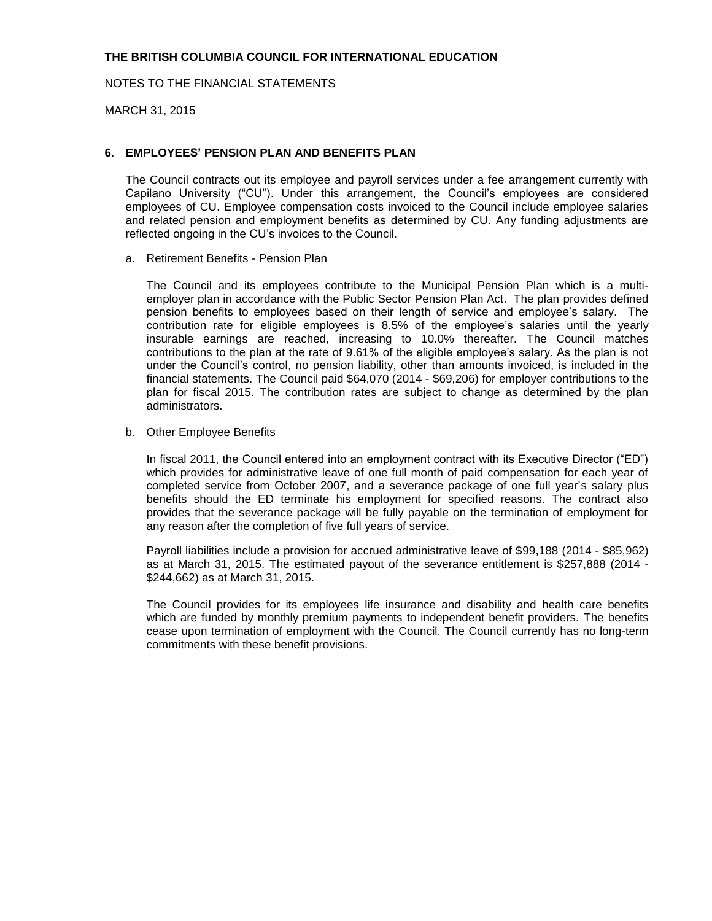MARCH 31, 2015

### **6. EMPLOYEES' PENSION PLAN AND BENEFITS PLAN**

The Council contracts out its employee and payroll services under a fee arrangement currently with Capilano University ("CU"). Under this arrangement, the Council's employees are considered employees of CU. Employee compensation costs invoiced to the Council include employee salaries and related pension and employment benefits as determined by CU. Any funding adjustments are reflected ongoing in the CU's invoices to the Council.

a. Retirement Benefits - Pension Plan

The Council and its employees contribute to the Municipal Pension Plan which is a multiemployer plan in accordance with the Public Sector Pension Plan Act. The plan provides defined pension benefits to employees based on their length of service and employee's salary. The contribution rate for eligible employees is 8.5% of the employee's salaries until the yearly insurable earnings are reached, increasing to 10.0% thereafter. The Council matches contributions to the plan at the rate of 9.61% of the eligible employee's salary. As the plan is not under the Council's control, no pension liability, other than amounts invoiced, is included in the financial statements. The Council paid \$64,070 (2014 - \$69,206) for employer contributions to the plan for fiscal 2015. The contribution rates are subject to change as determined by the plan administrators.

b. Other Employee Benefits

In fiscal 2011, the Council entered into an employment contract with its Executive Director ("ED") which provides for administrative leave of one full month of paid compensation for each year of completed service from October 2007, and a severance package of one full year's salary plus benefits should the ED terminate his employment for specified reasons. The contract also provides that the severance package will be fully payable on the termination of employment for any reason after the completion of five full years of service.

Payroll liabilities include a provision for accrued administrative leave of \$99,188 (2014 - \$85,962) as at March 31, 2015. The estimated payout of the severance entitlement is \$257,888 (2014 - \$244,662) as at March 31, 2015.

The Council provides for its employees life insurance and disability and health care benefits which are funded by monthly premium payments to independent benefit providers. The benefits cease upon termination of employment with the Council. The Council currently has no long-term commitments with these benefit provisions.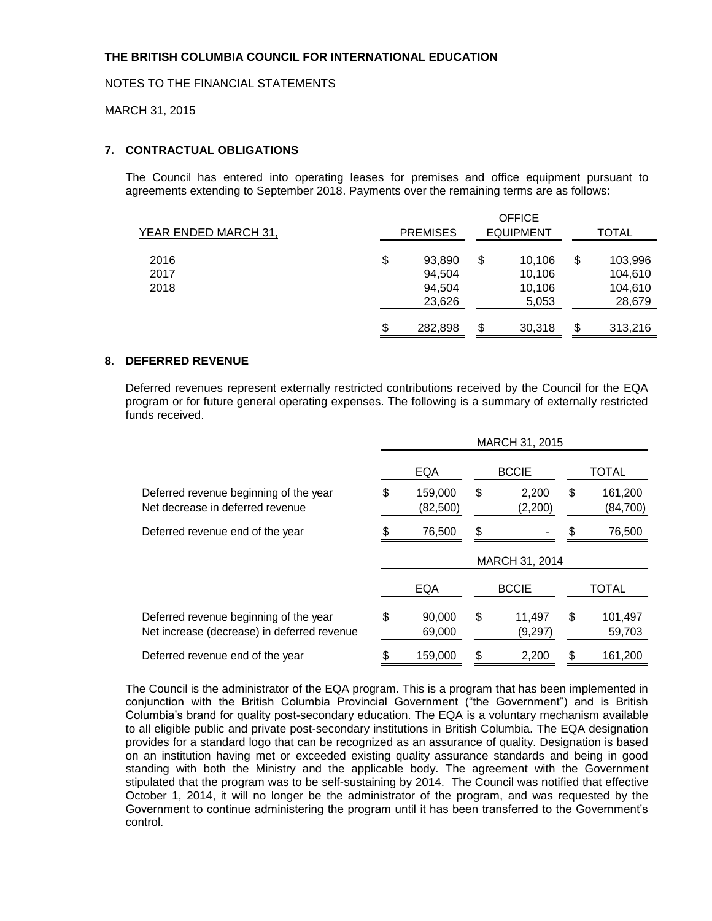MARCH 31, 2015

### **7. CONTRACTUAL OBLIGATIONS**

The Council has entered into operating leases for premises and office equipment pursuant to agreements extending to September 2018. Payments over the remaining terms are as follows:

| YEAR ENDED MARCH 31, | <b>OFFICE</b><br><b>PREMISES</b><br><b>EQUIPMENT</b> |    |                                     |    |                                         |  |  |
|----------------------|------------------------------------------------------|----|-------------------------------------|----|-----------------------------------------|--|--|
| 2016<br>2017<br>2018 | \$<br>93,890<br>94,504<br>94,504<br>23,626           | \$ | 10,106<br>10,106<br>10,106<br>5,053 | \$ | 103,996<br>104,610<br>104,610<br>28,679 |  |  |
|                      | \$<br>282,898                                        | \$ | 30,318                              | \$ | 313,216                                 |  |  |

### **8. DEFERRED REVENUE**

Deferred revenues represent externally restricted contributions received by the Council for the EQA program or for future general operating expenses. The following is a summary of externally restricted funds received.

|                                                                                       | MARCH 31, 2015 |                      |    |                   |              |                     |  |  |  |
|---------------------------------------------------------------------------------------|----------------|----------------------|----|-------------------|--------------|---------------------|--|--|--|
|                                                                                       |                | EQA                  |    | <b>BCCIE</b>      | <b>TOTAL</b> |                     |  |  |  |
| Deferred revenue beginning of the year<br>Net decrease in deferred revenue            | \$             | 159,000<br>(82, 500) | \$ | 2,200<br>(2,200)  | \$           | 161,200<br>(84,700) |  |  |  |
| Deferred revenue end of the year                                                      |                | 76,500               | S  |                   |              | 76,500              |  |  |  |
|                                                                                       | MARCH 31, 2014 |                      |    |                   |              |                     |  |  |  |
|                                                                                       |                | <b>EQA</b>           |    | <b>BCCIE</b>      | TOTAL        |                     |  |  |  |
| Deferred revenue beginning of the year<br>Net increase (decrease) in deferred revenue | \$             | 90,000<br>69,000     | \$ | 11,497<br>(9,297) | \$           | 101,497<br>59,703   |  |  |  |
| Deferred revenue end of the year                                                      |                | 159,000              | S  | 2,200             |              | 161,200             |  |  |  |

The Council is the administrator of the EQA program. This is a program that has been implemented in conjunction with the British Columbia Provincial Government ("the Government") and is British Columbia's brand for quality post-secondary education. The EQA is a voluntary mechanism available to all eligible public and private post-secondary institutions in British Columbia. The EQA designation provides for a standard logo that can be recognized as an assurance of quality. Designation is based on an institution having met or exceeded existing quality assurance standards and being in good standing with both the Ministry and the applicable body. The agreement with the Government stipulated that the program was to be self-sustaining by 2014. The Council was notified that effective October 1, 2014, it will no longer be the administrator of the program, and was requested by the Government to continue administering the program until it has been transferred to the Government's control.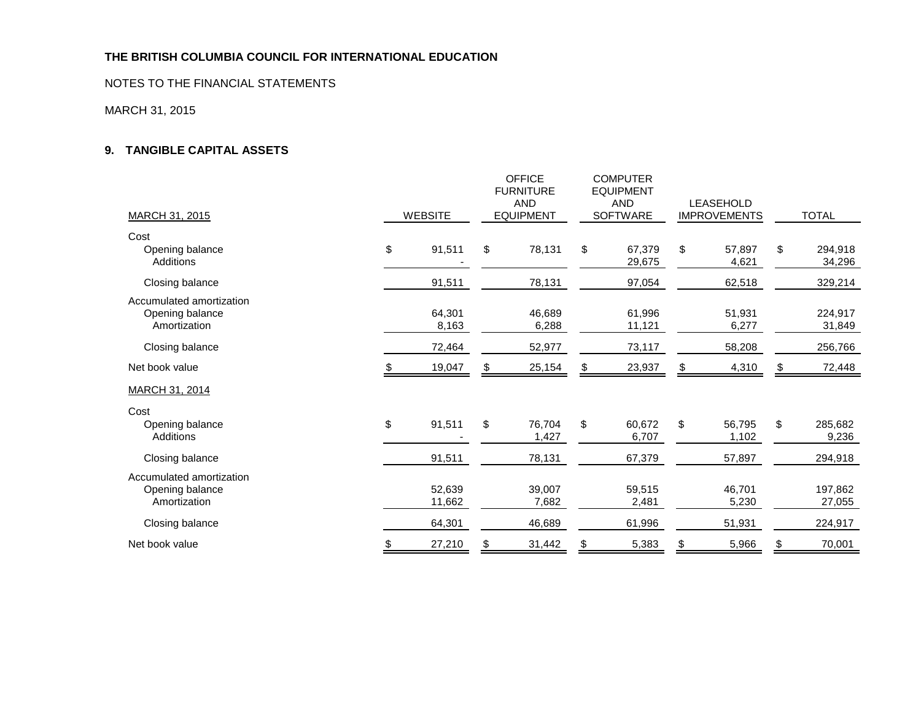### NOTES TO THE FINANCIAL STATEMENTS

### MARCH 31, 2015

### **9. TANGIBLE CAPITAL ASSETS**

| MARCH 31, 2015                                              |    | <b>WEBSITE</b>   |    |                 |    | <b>OFFICE</b><br><b>FURNITURE</b><br><b>AND</b><br><b>EQUIPMENT</b> |    |                 |    | <b>COMPUTER</b><br><b>EQUIPMENT</b><br><b>AND</b><br><b>SOFTWARE</b> |  |  |  | <b>LEASEHOLD</b><br><b>IMPROVEMENTS</b> |  | <b>TOTAL</b> |
|-------------------------------------------------------------|----|------------------|----|-----------------|----|---------------------------------------------------------------------|----|-----------------|----|----------------------------------------------------------------------|--|--|--|-----------------------------------------|--|--------------|
| Cost<br>Opening balance<br>Additions                        | \$ | 91,511           | \$ | 78,131          | \$ | 67,379<br>29,675                                                    | \$ | 57,897<br>4,621 | \$ | 294,918<br>34,296                                                    |  |  |  |                                         |  |              |
| Closing balance                                             |    | 91,511           |    | 78,131          |    | 97,054                                                              |    | 62,518          |    | 329,214                                                              |  |  |  |                                         |  |              |
| Accumulated amortization<br>Opening balance<br>Amortization |    | 64,301<br>8,163  |    | 46,689<br>6,288 |    | 61,996<br>11,121                                                    |    | 51,931<br>6,277 |    | 224,917<br>31,849                                                    |  |  |  |                                         |  |              |
| Closing balance                                             |    | 72,464           |    | 52,977          |    | 73,117                                                              |    | 58,208          |    | 256,766                                                              |  |  |  |                                         |  |              |
| Net book value                                              |    | 19,047           |    | 25,154          |    | 23,937                                                              |    | 4,310           |    | 72,448                                                               |  |  |  |                                         |  |              |
| <b>MARCH 31, 2014</b>                                       |    |                  |    |                 |    |                                                                     |    |                 |    |                                                                      |  |  |  |                                         |  |              |
| Cost<br>Opening balance<br>Additions                        | \$ | 91,511           | \$ | 76,704<br>1,427 | \$ | 60,672<br>6,707                                                     | \$ | 56,795<br>1,102 | \$ | 285,682<br>9,236                                                     |  |  |  |                                         |  |              |
| Closing balance                                             |    | 91,511           |    | 78,131          |    | 67,379                                                              |    | 57,897          |    | 294,918                                                              |  |  |  |                                         |  |              |
| Accumulated amortization<br>Opening balance<br>Amortization |    | 52,639<br>11,662 |    | 39,007<br>7,682 |    | 59,515<br>2,481                                                     |    | 46,701<br>5,230 |    | 197,862<br>27,055                                                    |  |  |  |                                         |  |              |
| Closing balance                                             |    | 64,301           |    | 46,689          |    | 61,996                                                              |    | 51,931          |    | 224,917                                                              |  |  |  |                                         |  |              |
| Net book value                                              | \$ | 27,210           | \$ | 31,442          | \$ | 5,383                                                               | \$ | 5,966           | \$ | 70,001                                                               |  |  |  |                                         |  |              |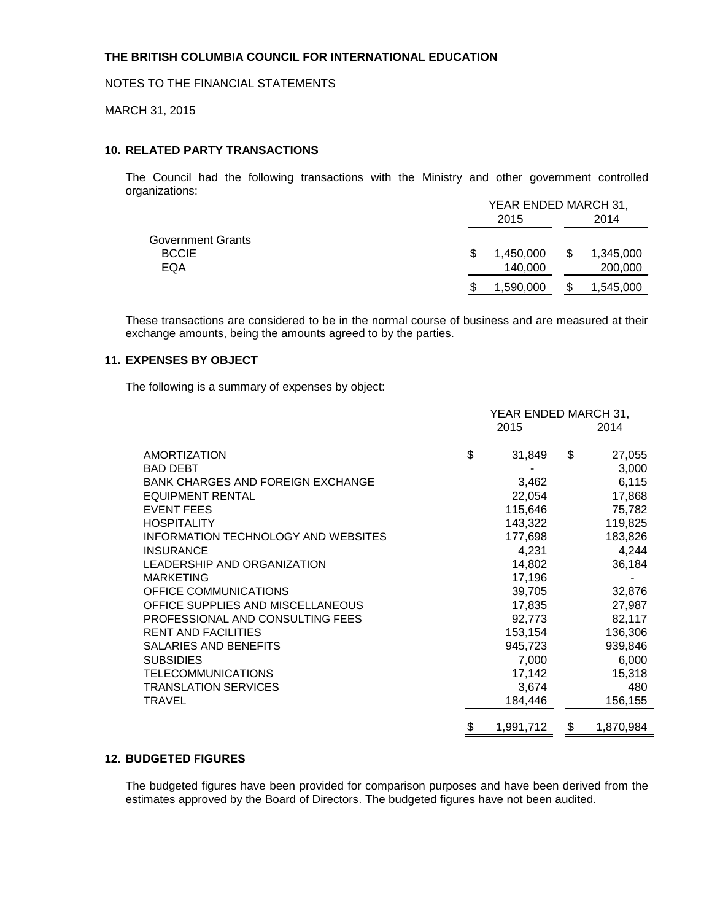MARCH 31, 2015

### **10. RELATED PARTY TRANSACTIONS**

The Council had the following transactions with the Ministry and other government controlled organizations:

|                   | YEAR ENDED MARCH 31, |   |           |  |  |  |
|-------------------|----------------------|---|-----------|--|--|--|
|                   | 2015                 |   | 2014      |  |  |  |
| Government Grants |                      |   |           |  |  |  |
| <b>BCCIE</b>      | \$<br>1,450,000      | S | 1,345,000 |  |  |  |
| EQA               | 140,000              |   | 200,000   |  |  |  |
|                   | 1,590,000            |   | 1,545,000 |  |  |  |

These transactions are considered to be in the normal course of business and are measured at their exchange amounts, being the amounts agreed to by the parties.

# **11. EXPENSES BY OBJECT**

The following is a summary of expenses by object:

|                                          | YEAR ENDED MARCH 31, |           |    |           |  |
|------------------------------------------|----------------------|-----------|----|-----------|--|
|                                          |                      | 2015      |    | 2014      |  |
| <b>AMORTIZATION</b>                      | \$                   | 31,849    | \$ | 27,055    |  |
| <b>BAD DEBT</b>                          |                      |           |    | 3,000     |  |
| <b>BANK CHARGES AND FOREIGN EXCHANGE</b> |                      | 3,462     |    | 6,115     |  |
| <b>EQUIPMENT RENTAL</b>                  |                      | 22,054    |    | 17,868    |  |
| <b>EVENT FEES</b>                        |                      | 115,646   |    | 75,782    |  |
| <b>HOSPITALITY</b>                       |                      | 143,322   |    | 119,825   |  |
| INFORMATION TECHNOLOGY AND WEBSITES      |                      | 177,698   |    | 183,826   |  |
| <b>INSURANCE</b>                         |                      | 4,231     |    | 4,244     |  |
| LEADERSHIP AND ORGANIZATION              |                      | 14,802    |    | 36,184    |  |
| <b>MARKETING</b>                         |                      | 17,196    |    |           |  |
| OFFICE COMMUNICATIONS                    |                      | 39,705    |    | 32,876    |  |
| OFFICE SUPPLIES AND MISCELLANEOUS        |                      | 17,835    |    | 27,987    |  |
| PROFESSIONAL AND CONSULTING FEES         |                      | 92,773    |    | 82,117    |  |
| <b>RENT AND FACILITIES</b>               |                      | 153,154   |    | 136,306   |  |
| SALARIES AND BENEFITS                    |                      | 945,723   |    | 939,846   |  |
| <b>SUBSIDIES</b>                         |                      | 7,000     |    | 6,000     |  |
| <b>TELECOMMUNICATIONS</b>                |                      | 17,142    |    | 15,318    |  |
| <b>TRANSLATION SERVICES</b>              |                      | 3,674     |    | 480       |  |
| <b>TRAVEL</b>                            |                      | 184,446   |    | 156,155   |  |
|                                          | \$                   | 1,991,712 | \$ | 1,870,984 |  |

### **12. BUDGETED FIGURES**

The budgeted figures have been provided for comparison purposes and have been derived from the estimates approved by the Board of Directors. The budgeted figures have not been audited.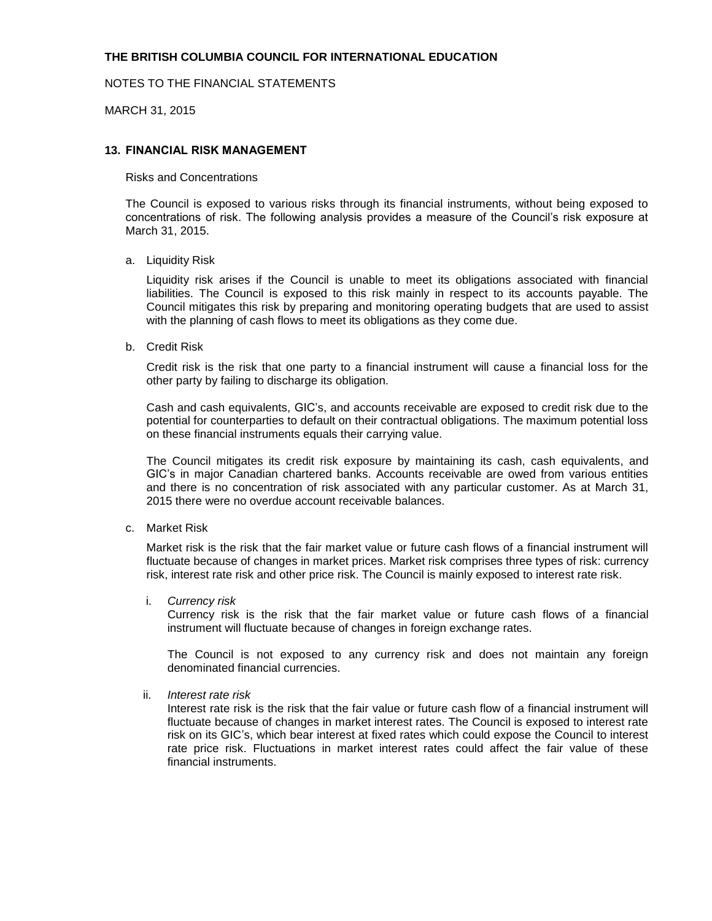MARCH 31, 2015

### **13. FINANCIAL RISK MANAGEMENT**

Risks and Concentrations

The Council is exposed to various risks through its financial instruments, without being exposed to concentrations of risk. The following analysis provides a measure of the Council's risk exposure at March 31, 2015.

a. Liquidity Risk

Liquidity risk arises if the Council is unable to meet its obligations associated with financial liabilities. The Council is exposed to this risk mainly in respect to its accounts payable. The Council mitigates this risk by preparing and monitoring operating budgets that are used to assist with the planning of cash flows to meet its obligations as they come due.

b. Credit Risk

Credit risk is the risk that one party to a financial instrument will cause a financial loss for the other party by failing to discharge its obligation.

Cash and cash equivalents, GIC's, and accounts receivable are exposed to credit risk due to the potential for counterparties to default on their contractual obligations. The maximum potential loss on these financial instruments equals their carrying value.

The Council mitigates its credit risk exposure by maintaining its cash, cash equivalents, and GIC's in major Canadian chartered banks. Accounts receivable are owed from various entities and there is no concentration of risk associated with any particular customer. As at March 31, 2015 there were no overdue account receivable balances.

c. Market Risk

Market risk is the risk that the fair market value or future cash flows of a financial instrument will fluctuate because of changes in market prices. Market risk comprises three types of risk: currency risk, interest rate risk and other price risk. The Council is mainly exposed to interest rate risk.

i. *Currency risk*

Currency risk is the risk that the fair market value or future cash flows of a financial instrument will fluctuate because of changes in foreign exchange rates.

The Council is not exposed to any currency risk and does not maintain any foreign denominated financial currencies.

ii. *Interest rate risk*

Interest rate risk is the risk that the fair value or future cash flow of a financial instrument will fluctuate because of changes in market interest rates. The Council is exposed to interest rate risk on its GIC's, which bear interest at fixed rates which could expose the Council to interest rate price risk. Fluctuations in market interest rates could affect the fair value of these financial instruments.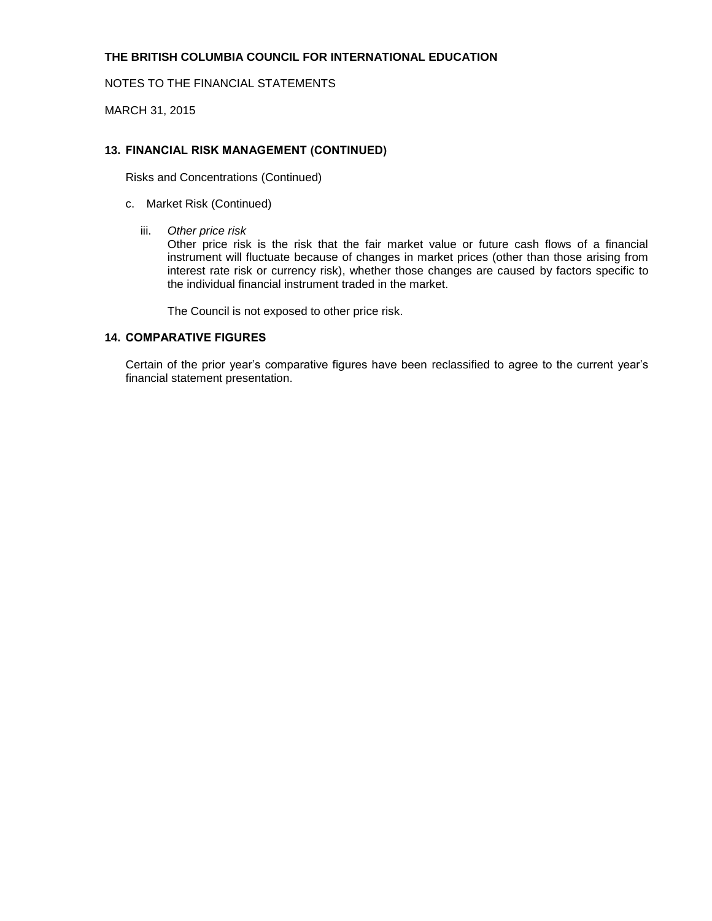### NOTES TO THE FINANCIAL STATEMENTS

MARCH 31, 2015

### **13. FINANCIAL RISK MANAGEMENT (CONTINUED)**

Risks and Concentrations (Continued)

- c. Market Risk (Continued)
	- iii. *Other price risk*

Other price risk is the risk that the fair market value or future cash flows of a financial instrument will fluctuate because of changes in market prices (other than those arising from interest rate risk or currency risk), whether those changes are caused by factors specific to the individual financial instrument traded in the market.

The Council is not exposed to other price risk.

### **14. COMPARATIVE FIGURES**

Certain of the prior year's comparative figures have been reclassified to agree to the current year's financial statement presentation.